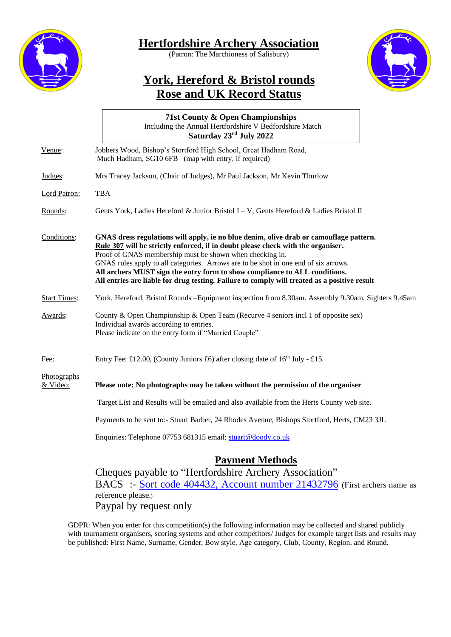

## **Hertfordshire Archery Association**

(Patron: The Marchioness of Salisbury)



## **York, Hereford & Bristol rounds Rose and UK Record Status**

|                         | 71st County & Open Championships<br>Including the Annual Hertfordshire V Bedfordshire Match<br>Saturday 23rd July 2022                                                                                                                                                                                                                                                                                                                                                                                      |  |  |  |  |  |  |  |  |
|-------------------------|-------------------------------------------------------------------------------------------------------------------------------------------------------------------------------------------------------------------------------------------------------------------------------------------------------------------------------------------------------------------------------------------------------------------------------------------------------------------------------------------------------------|--|--|--|--|--|--|--|--|
| Venue:                  | Jobbers Wood, Bishop's Stortford High School, Great Hadham Road,<br>Much Hadham, SG10 6FB (map with entry, if required)                                                                                                                                                                                                                                                                                                                                                                                     |  |  |  |  |  |  |  |  |
| Judges:                 | Mrs Tracey Jackson, (Chair of Judges), Mr Paul Jackson, Mr Kevin Thurlow                                                                                                                                                                                                                                                                                                                                                                                                                                    |  |  |  |  |  |  |  |  |
| Lord Patron:            | <b>TBA</b>                                                                                                                                                                                                                                                                                                                                                                                                                                                                                                  |  |  |  |  |  |  |  |  |
| Rounds:                 | Gents York, Ladies Hereford & Junior Bristol I – V, Gents Hereford & Ladies Bristol II                                                                                                                                                                                                                                                                                                                                                                                                                      |  |  |  |  |  |  |  |  |
| Conditions:             | GNAS dress regulations will apply, ie no blue denim, olive drab or camouflage pattern.<br>Rule 307 will be strictly enforced, if in doubt please check with the organiser.<br>Proof of GNAS membership must be shown when checking in.<br>GNAS rules apply to all categories. Arrows are to be shot in one end of six arrows.<br>All archers MUST sign the entry form to show compliance to ALL conditions.<br>All entries are liable for drug testing. Failure to comply will treated as a positive result |  |  |  |  |  |  |  |  |
| <b>Start Times:</b>     | York, Hereford, Bristol Rounds -Equipment inspection from 8.30am. Assembly 9.30am, Sighters 9.45am                                                                                                                                                                                                                                                                                                                                                                                                          |  |  |  |  |  |  |  |  |
| Awards:                 | County & Open Championship & Open Team (Recurve 4 seniors incl 1 of opposite sex)<br>Individual awards according to entries.<br>Please indicate on the entry form if "Married Couple"                                                                                                                                                                                                                                                                                                                       |  |  |  |  |  |  |  |  |
| Fee:                    | Entry Fee: £12.00, (County Juniors £6) after closing date of $16th$ July - £15.                                                                                                                                                                                                                                                                                                                                                                                                                             |  |  |  |  |  |  |  |  |
| Photographs<br>& Video: | Please note: No photographs may be taken without the permission of the organiser                                                                                                                                                                                                                                                                                                                                                                                                                            |  |  |  |  |  |  |  |  |
|                         | Target List and Results will be emailed and also available from the Herts County web site.                                                                                                                                                                                                                                                                                                                                                                                                                  |  |  |  |  |  |  |  |  |
|                         | Payments to be sent to:- Stuart Barber, 24 Rhodes Avenue, Bishops Stortford, Herts, CM23 3JL                                                                                                                                                                                                                                                                                                                                                                                                                |  |  |  |  |  |  |  |  |
|                         | Enquiries: Telephone 07753 681315 email: stuart@doody.co.uk                                                                                                                                                                                                                                                                                                                                                                                                                                                 |  |  |  |  |  |  |  |  |
|                         | <b>Payment Methods</b><br>Cheques payable to "Hertfordshire Archery Association"<br>BACS :- Sort code 404432, Account number 21432796 (First archers name as                                                                                                                                                                                                                                                                                                                                                |  |  |  |  |  |  |  |  |

reference please.) Paypal by request only GDPR: When you enter for this competition(s) the following information may be collected and shared publicly

with tournament organisers, scoring systems and other competitors/ Judges for example target lists and results may be published: First Name, Surname, Gender, Bow style, Age category, Club, County, Region, and Round.